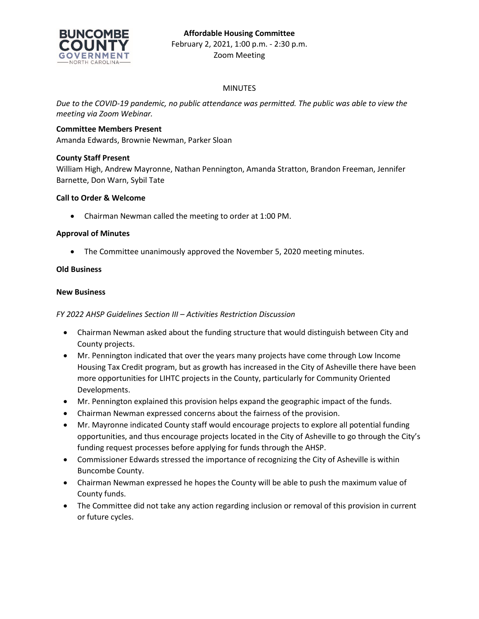

## MINUTES

*Due to the COVID-19 pandemic, no public attendance was permitted. The public was able to view the meeting via Zoom Webinar.*

# **Committee Members Present**

Amanda Edwards, Brownie Newman, Parker Sloan

## **County Staff Present**

William High, Andrew Mayronne, Nathan Pennington, Amanda Stratton, Brandon Freeman, Jennifer Barnette, Don Warn, Sybil Tate

## **Call to Order & Welcome**

• Chairman Newman called the meeting to order at 1:00 PM.

#### **Approval of Minutes**

• The Committee unanimously approved the November 5, 2020 meeting minutes.

## **Old Business**

#### **New Business**

## *FY 2022 AHSP Guidelines Section III – Activities Restriction Discussion*

- Chairman Newman asked about the funding structure that would distinguish between City and County projects.
- Mr. Pennington indicated that over the years many projects have come through Low Income Housing Tax Credit program, but as growth has increased in the City of Asheville there have been more opportunities for LIHTC projects in the County, particularly for Community Oriented Developments.
- Mr. Pennington explained this provision helps expand the geographic impact of the funds.
- Chairman Newman expressed concerns about the fairness of the provision.
- Mr. Mayronne indicated County staff would encourage projects to explore all potential funding opportunities, and thus encourage projects located in the City of Asheville to go through the City's funding request processes before applying for funds through the AHSP.
- Commissioner Edwards stressed the importance of recognizing the City of Asheville is within Buncombe County.
- Chairman Newman expressed he hopes the County will be able to push the maximum value of County funds.
- The Committee did not take any action regarding inclusion or removal of this provision in current or future cycles.